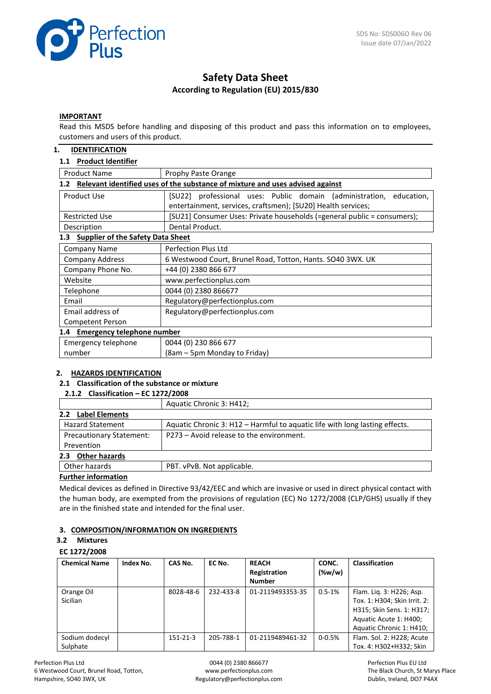

# **Safety Data Sheet According to Regulation (EU) 2015/830**

### **IMPORTANT**

Read this MSDS before handling and disposing of this product and pass this information on to employees, customers and users of this product.

### **1. IDENTIFICATION**

### **1.1 Product Identifier**

| <b>Product Name</b>                                                                  | Prophy Paste Orange                                                                                                                    |  |  |  |  |
|--------------------------------------------------------------------------------------|----------------------------------------------------------------------------------------------------------------------------------------|--|--|--|--|
| Relevant identified uses of the substance of mixture and uses advised against<br>1.2 |                                                                                                                                        |  |  |  |  |
| Product Use                                                                          | [SU22] professional uses: Public domain (administration,<br>education,<br>entertainment, services, craftsmen); [SU20] Health services; |  |  |  |  |
| <b>Restricted Use</b>                                                                | [SU21] Consumer Uses: Private households (=general public = consumers);                                                                |  |  |  |  |
| Description                                                                          | Dental Product.                                                                                                                        |  |  |  |  |
| <b>Supplier of the Safety Data Sheet</b><br>1.3                                      |                                                                                                                                        |  |  |  |  |
| Company Name                                                                         | Perfection Plus Ltd                                                                                                                    |  |  |  |  |
| <b>Company Address</b>                                                               | 6 Westwood Court, Brunel Road, Totton, Hants. SO40 3WX. UK                                                                             |  |  |  |  |
| Company Phone No.                                                                    | +44 (0) 2380 866 677                                                                                                                   |  |  |  |  |
| Website                                                                              | www.perfectionplus.com                                                                                                                 |  |  |  |  |
| Telephone                                                                            | 0044 (0) 2380 866677                                                                                                                   |  |  |  |  |
| Email                                                                                | Regulatory@perfectionplus.com                                                                                                          |  |  |  |  |
| Email address of                                                                     | Regulatory@perfectionplus.com                                                                                                          |  |  |  |  |
| Competent Person                                                                     |                                                                                                                                        |  |  |  |  |
| Emergency telephone number<br>1.4                                                    |                                                                                                                                        |  |  |  |  |
| Emergency telephone                                                                  | 0044 (0) 230 866 677                                                                                                                   |  |  |  |  |
| number                                                                               | (8am – 5pm Monday to Friday)                                                                                                           |  |  |  |  |

### **2. HAZARDS IDENTIFICATION**

### **2.1 Classification of the substance or mixture**

# **2.1.2 Classification – EC 1272/2008**

|                                 | Aquatic Chronic 3: H412;                                                    |
|---------------------------------|-----------------------------------------------------------------------------|
| <b>Label Elements</b><br>2.2    |                                                                             |
| <b>Hazard Statement</b>         | Aquatic Chronic 3: H12 - Harmful to aquatic life with long lasting effects. |
| <b>Precautionary Statement:</b> | P273 – Avoid release to the environment.                                    |
| Prevention                      |                                                                             |
| <b>Other hazards</b><br>2.3     |                                                                             |
| Other hazards                   | PBT. vPvB. Not applicable.                                                  |
| Providence for formation and    |                                                                             |

### **Further information**

Medical devices as defined in Directive 93/42/EEC and which are invasive or used in direct physical contact with the human body, are exempted from the provisions of regulation (EC) No 1272/2008 (CLP/GHS) usually if they are in the finished state and intended for the final user.

### **3. COMPOSITION/INFORMATION ON INGREDIENTS**

#### **3.2 Mixtures**

#### **EC 1272/2008**

| <b>Chemical Name</b>       | Index No. | CAS No.        | EC No.    | <b>REACH</b><br>Registration<br><b>Number</b> | CONC.<br>$(\%w/w)$ | <b>Classification</b>                                                                                                                       |
|----------------------------|-----------|----------------|-----------|-----------------------------------------------|--------------------|---------------------------------------------------------------------------------------------------------------------------------------------|
| Orange Oil<br>Sicilian     |           | 8028-48-6      | 232-433-8 | 01-2119493353-35                              | $0.5 - 1%$         | Flam. Lig. 3: H226; Asp.<br>Tox. 1: H304; Skin Irrit. 2:<br>H315; Skin Sens. 1: H317;<br>Aquatic Acute 1: H400;<br>Aquatic Chronic 1: H410; |
| Sodium dodecyl<br>Sulphate |           | $151 - 21 - 3$ | 205-788-1 | 01-2119489461-32                              | $0 - 0.5%$         | Flam. Sol. 2: H228; Acute<br>Tox. 4: H302+H332; Skin                                                                                        |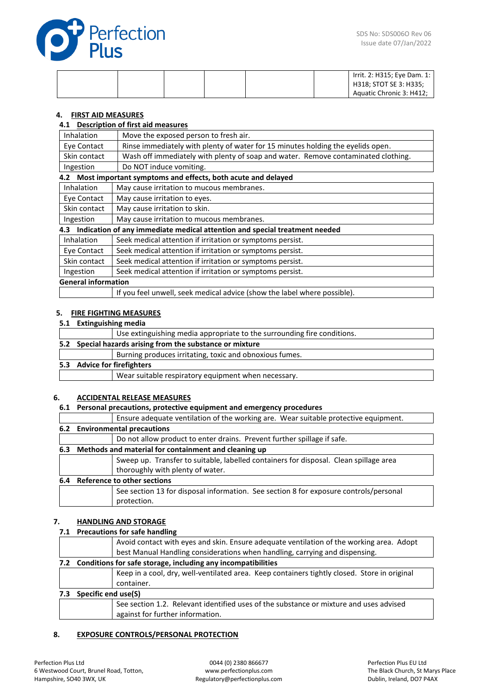

|  |  |  | Irrit. 2: H315; Eye Dam. 1:<br>H318; STOT SE 3: H335; |
|--|--|--|-------------------------------------------------------|
|  |  |  | Aquatic Chronic 3: H412;                              |

### **4. FIRST AID MEASURES**

### **4.1 Description of first aid measures**

| Inhalation                 | Move the exposed person to fresh air.                                             |
|----------------------------|-----------------------------------------------------------------------------------|
| Eye Contact                | Rinse immediately with plenty of water for 15 minutes holding the eyelids open.   |
| Skin contact               | Wash off immediately with plenty of soap and water. Remove contaminated clothing. |
| Ingestion                  | Do NOT induce vomiting.                                                           |
|                            | 4.2 Most important symptoms and effects, both acute and delayed                   |
| Inhalation                 | May cause irritation to mucous membranes.                                         |
| Eye Contact                | May cause irritation to eyes.                                                     |
| Skin contact               | May cause irritation to skin.                                                     |
| Ingestion                  | May cause irritation to mucous membranes.                                         |
| 4.3                        | Indication of any immediate medical attention and special treatment needed        |
| Inhalation                 | Seek medical attention if irritation or symptoms persist.                         |
| Eye Contact                | Seek medical attention if irritation or symptoms persist.                         |
| Skin contact               | Seek medical attention if irritation or symptoms persist.                         |
| Ingestion                  | Seek medical attention if irritation or symptoms persist.                         |
| <b>General information</b> |                                                                                   |
|                            | If you feel unwell, seek medical advice (show the label where possible).          |

#### **5. FIRE FIGHTING MEASURES**

# **5.1 Extinguishing media**

|                                                           | Use extinguishing media appropriate to the surrounding fire conditions. |  |  |  |
|-----------------------------------------------------------|-------------------------------------------------------------------------|--|--|--|
| 5.2 Special hazards arising from the substance or mixture |                                                                         |  |  |  |
|                                                           | Burning produces irritating, toxic and obnoxious fumes.                 |  |  |  |
| 5.3 Advice for firefighters                               |                                                                         |  |  |  |
|                                                           | Wear suitable respiratory equipment when necessary.                     |  |  |  |
|                                                           |                                                                         |  |  |  |

### **6. ACCIDENTAL RELEASE MEASURES**

### **6.1 Personal precautions, protective equipment and emergency procedures**

|     |                               | Ensure adequate ventilation of the working are. Wear suitable protective equipment.   |  |  |  |
|-----|-------------------------------|---------------------------------------------------------------------------------------|--|--|--|
|     | 6.2 Environmental precautions |                                                                                       |  |  |  |
|     |                               | Do not allow product to enter drains. Prevent further spillage if safe.               |  |  |  |
| 6.3 |                               | Methods and material for containment and cleaning up                                  |  |  |  |
|     |                               | Sweep up. Transfer to suitable, labelled containers for disposal. Clean spillage area |  |  |  |
|     |                               | thoroughly with plenty of water.                                                      |  |  |  |
| 6.4 | Reference to other sections   |                                                                                       |  |  |  |
|     |                               | See section 13 for disposal information. See section 8 for exposure controls/personal |  |  |  |
|     |                               | protection.                                                                           |  |  |  |
|     |                               |                                                                                       |  |  |  |

### **7. HANDLING AND STORAGE**

|                         | 7.1 Precautions for safe handling                                                            |  |  |  |  |
|-------------------------|----------------------------------------------------------------------------------------------|--|--|--|--|
|                         | Avoid contact with eyes and skin. Ensure adequate ventilation of the working area. Adopt     |  |  |  |  |
|                         | best Manual Handling considerations when handling, carrying and dispensing.                  |  |  |  |  |
|                         | 7.2 Conditions for safe storage, including any incompatibilities                             |  |  |  |  |
|                         | Keep in a cool, dry, well-ventilated area. Keep containers tightly closed. Store in original |  |  |  |  |
|                         | container.                                                                                   |  |  |  |  |
| 7.3 Specific end use(S) |                                                                                              |  |  |  |  |
|                         | See section 1.2. Relevant identified uses of the substance or mixture and uses advised       |  |  |  |  |
|                         | against for further information.                                                             |  |  |  |  |

# **8. EXPOSURE CONTROLS/PERSONAL PROTECTION**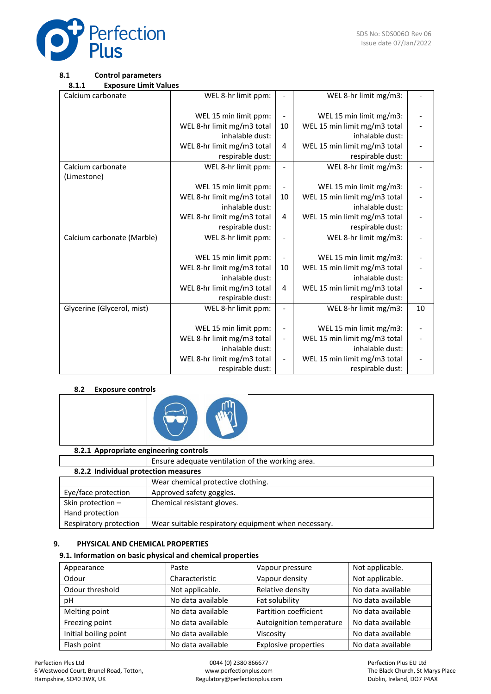

### **8.1 Control parameters**

**8.1.1 Exposure Limit Values**

| Calcium carbonate          | WEL 8-hr limit ppm:        |                              | WEL 8-hr limit mg/m3:        |    |
|----------------------------|----------------------------|------------------------------|------------------------------|----|
|                            |                            |                              |                              |    |
|                            | WEL 15 min limit ppm:      | $\overline{\phantom{a}}$     | WEL 15 min limit mg/m3:      |    |
|                            | WEL 8-hr limit mg/m3 total | 10                           | WEL 15 min limit mg/m3 total |    |
|                            | inhalable dust:            |                              | inhalable dust:              |    |
|                            | WEL 8-hr limit mg/m3 total | 4                            | WEL 15 min limit mg/m3 total |    |
|                            | respirable dust:           |                              | respirable dust:             |    |
| Calcium carbonate          | WEL 8-hr limit ppm:        | $\qquad \qquad \blacksquare$ | WEL 8-hr limit mg/m3:        |    |
| (Limestone)                |                            |                              |                              |    |
|                            | WEL 15 min limit ppm:      | $\qquad \qquad \blacksquare$ | WEL 15 min limit mg/m3:      |    |
|                            | WEL 8-hr limit mg/m3 total | 10                           | WEL 15 min limit mg/m3 total |    |
|                            | inhalable dust:            |                              | inhalable dust:              |    |
|                            | WEL 8-hr limit mg/m3 total | 4                            | WEL 15 min limit mg/m3 total |    |
|                            | respirable dust:           |                              | respirable dust:             |    |
| Calcium carbonate (Marble) | WEL 8-hr limit ppm:        |                              | WEL 8-hr limit mg/m3:        |    |
|                            |                            |                              |                              |    |
|                            | WEL 15 min limit ppm:      | $\overline{\phantom{m}}$     | WEL 15 min limit mg/m3:      |    |
|                            | WEL 8-hr limit mg/m3 total | 10                           | WEL 15 min limit mg/m3 total |    |
|                            | inhalable dust:            |                              | inhalable dust:              |    |
|                            | WEL 8-hr limit mg/m3 total | 4                            | WEL 15 min limit mg/m3 total |    |
|                            | respirable dust:           |                              | respirable dust:             |    |
| Glycerine (Glycerol, mist) | WEL 8-hr limit ppm:        | $\overline{\phantom{0}}$     | WEL 8-hr limit mg/m3:        | 10 |
|                            |                            |                              |                              |    |
|                            | WEL 15 min limit ppm:      | $\overline{\phantom{0}}$     | WEL 15 min limit mg/m3:      |    |
|                            | WEL 8-hr limit mg/m3 total | $\overline{\phantom{a}}$     | WEL 15 min limit mg/m3 total |    |
|                            | inhalable dust:            |                              | inhalable dust:              |    |
|                            | WEL 8-hr limit mg/m3 total | $\overline{\phantom{a}}$     | WEL 15 min limit mg/m3 total |    |
|                            | respirable dust:           |                              | respirable dust:             |    |

# **8.2 Exposure controls**



### **8.2.1 Appropriate engineering controls**

|                                      | Ensure adequate ventilation of the working area.    |  |  |  |
|--------------------------------------|-----------------------------------------------------|--|--|--|
| 8.2.2 Individual protection measures |                                                     |  |  |  |
|                                      | Wear chemical protective clothing.                  |  |  |  |
| Eye/face protection                  | Approved safety goggles.                            |  |  |  |
| Skin protection $-$                  | Chemical resistant gloves.                          |  |  |  |
| Hand protection                      |                                                     |  |  |  |
| Respiratory protection               | Wear suitable respiratory equipment when necessary. |  |  |  |

### **9. PHYSICAL AND CHEMICAL PROPERTIES**

### **9.1. Information on basic physical and chemical properties**

| Appearance            | Paste             | Vapour pressure             | Not applicable.   |
|-----------------------|-------------------|-----------------------------|-------------------|
| Odour                 | Characteristic    | Vapour density              | Not applicable.   |
| Odour threshold       | Not applicable.   | Relative density            | No data available |
| рH                    | No data available | Fat solubility              | No data available |
| Melting point         | No data available | Partition coefficient       | No data available |
| Freezing point        | No data available | Autoignition temperature    | No data available |
| Initial boiling point | No data available | Viscosity                   | No data available |
| Flash point           | No data available | <b>Explosive properties</b> | No data available |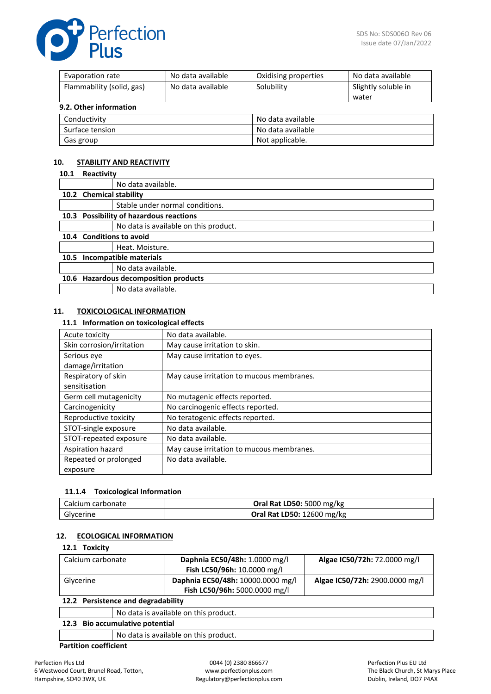

| No data available<br>Evaporation rate |                   | Oxidising properties | No data available   |
|---------------------------------------|-------------------|----------------------|---------------------|
| Flammability (solid, gas)             | No data available | Solubility           | Slightly soluble in |
|                                       |                   |                      | water               |
| 9.2. Other information                |                   |                      |                     |
| Conductivity                          |                   | No data available    |                     |
| Surface tension                       |                   | No data available    |                     |

Gas group and a set of the set of the Not applicable.

### **10. STABILITY AND REACTIVITY**

| 10.1 | Reactivity                              |  |
|------|-----------------------------------------|--|
|      | No data available.                      |  |
|      | 10.2 Chemical stability                 |  |
|      | Stable under normal conditions.         |  |
|      | 10.3 Possibility of hazardous reactions |  |
|      | No data is available on this product.   |  |
|      | 10.4 Conditions to avoid                |  |
|      | Heat. Moisture.                         |  |
| 10.5 | Incompatible materials                  |  |
|      | No data available.                      |  |
|      | 10.6 Hazardous decomposition products   |  |
|      | No data available.                      |  |

#### **11. TOXICOLOGICAL INFORMATION**

#### **11.1 Information on toxicological effects**

| Acute toxicity            | No data available.                        |
|---------------------------|-------------------------------------------|
| Skin corrosion/irritation | May cause irritation to skin.             |
| Serious eye               | May cause irritation to eyes.             |
| damage/irritation         |                                           |
| Respiratory of skin       | May cause irritation to mucous membranes. |
| sensitisation             |                                           |
| Germ cell mutagenicity    | No mutagenic effects reported.            |
| Carcinogenicity           | No carcinogenic effects reported.         |
| Reproductive toxicity     | No teratogenic effects reported.          |
| STOT-single exposure      | No data available.                        |
| STOT-repeated exposure    | No data available.                        |
| Aspiration hazard         | May cause irritation to mucous membranes. |
| Repeated or prolonged     | No data available.                        |
| exposure                  |                                           |

### **11.1.4 Toxicological Information**

| Calcium carbonate | Oral Rat LD50: 5000 mg/kg         |
|-------------------|-----------------------------------|
| Glycerine         | <b>Oral Rat LD50: 12600 mg/kg</b> |

#### **12. ECOLOGICAL INFORMATION**

#### **12.1 Toxicity**

| Calcium carbonate                  |  | Daphnia EC50/48h: 1.0000 mg/l         | Algae IC50/72h: 72.0000 mg/l   |
|------------------------------------|--|---------------------------------------|--------------------------------|
|                                    |  | Fish LC50/96h: 10.0000 mg/l           |                                |
| Glycerine                          |  | Daphnia EC50/48h: 10000.0000 mg/l     | Algae IC50/72h: 2900.0000 mg/l |
|                                    |  | Fish LC50/96h: 5000.0000 mg/l         |                                |
| 12.2 Persistence and degradability |  |                                       |                                |
|                                    |  | No data is available on this product. |                                |
| 12.3 Bio accumulative potential    |  |                                       |                                |

No data is available on this product.

# **Partition coefficient**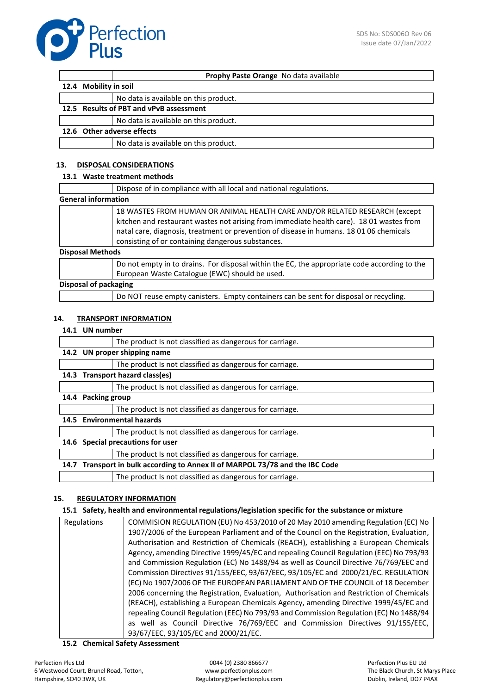

|                                         | Prophy Paste Orange No data available |  |
|-----------------------------------------|---------------------------------------|--|
| 12.4 Mobility in soil                   |                                       |  |
|                                         | No data is available on this product. |  |
| 12.5 Results of PBT and vPvB assessment |                                       |  |
|                                         | No data is available on this product. |  |
| 12.6 Other adverse effects              |                                       |  |
|                                         | No data is available on this product. |  |

### **13. DISPOSAL CONSIDERATIONS**

### **13.1 Waste treatment methods**

|                         | Dispose of in compliance with all local and national regulations.                                                                                                                                                                                                                                                      |  |  |
|-------------------------|------------------------------------------------------------------------------------------------------------------------------------------------------------------------------------------------------------------------------------------------------------------------------------------------------------------------|--|--|
|                         | <b>General information</b>                                                                                                                                                                                                                                                                                             |  |  |
| <b>Disposal Methods</b> | 18 WASTES FROM HUMAN OR ANIMAL HEALTH CARE AND/OR RELATED RESEARCH (except<br>kitchen and restaurant wastes not arising from immediate health care). 18 01 wastes from<br>natal care, diagnosis, treatment or prevention of disease in humans. 18 01 06 chemicals<br>consisting of or containing dangerous substances. |  |  |
|                         | Do not empty in to drains. For disposal within the EC, the appropriate code according to the<br>European Waste Catalogue (EWC) should be used.                                                                                                                                                                         |  |  |
|                         | Disposal of packaging                                                                                                                                                                                                                                                                                                  |  |  |
|                         | Do NOT reuse empty canisters. Empty containers can be sent for disposal or recycling.                                                                                                                                                                                                                                  |  |  |

### **14. TRANSPORT INFORMATION**

#### **14.1 UN number**

|                                                                                  | The product Is not classified as dangerous for carriage. |  |
|----------------------------------------------------------------------------------|----------------------------------------------------------|--|
| 14.2 UN proper shipping name                                                     |                                                          |  |
|                                                                                  | The product Is not classified as dangerous for carriage. |  |
|                                                                                  | 14.3 Transport hazard class(es)                          |  |
|                                                                                  | The product Is not classified as dangerous for carriage. |  |
| 14.4 Packing group                                                               |                                                          |  |
|                                                                                  | The product Is not classified as dangerous for carriage. |  |
|                                                                                  | 14.5 Environmental hazards                               |  |
|                                                                                  | The product Is not classified as dangerous for carriage. |  |
|                                                                                  | 14.6 Special precautions for user                        |  |
|                                                                                  | The product Is not classified as dangerous for carriage. |  |
| Transport in bulk according to Annex II of MARPOL 73/78 and the IBC Code<br>14.7 |                                                          |  |
|                                                                                  | The product Is not classified as dangerous for carriage. |  |
|                                                                                  |                                                          |  |

### **15. REGULATORY INFORMATION**

### **15.1 Safety, health and environmental regulations/legislation specific for the substance or mixture**

| COMMISION REGULATION (EU) No 453/2010 of 20 May 2010 amending Regulation (EC) No         |
|------------------------------------------------------------------------------------------|
| 1907/2006 of the European Parliament and of the Council on the Registration, Evaluation, |
| Authorisation and Restriction of Chemicals (REACH), establishing a European Chemicals    |
| Agency, amending Directive 1999/45/EC and repealing Council Regulation (EEC) No 793/93   |
| and Commission Regulation (EC) No 1488/94 as well as Council Directive 76/769/EEC and    |
| Commission Directives 91/155/EEC, 93/67/EEC, 93/105/EC and 2000/21/EC. REGULATION        |
| (EC) No 1907/2006 OF THE EUROPEAN PARLIAMENT AND OF THE COUNCIL of 18 December           |
| 2006 concerning the Registration, Evaluation, Authorisation and Restriction of Chemicals |
| (REACH), establishing a European Chemicals Agency, amending Directive 1999/45/EC and     |
| repealing Council Regulation (EEC) No 793/93 and Commission Regulation (EC) No 1488/94   |
| as well as Council Directive 76/769/EEC and Commission Directives 91/155/EEC,            |
| 93/67/EEC, 93/105/EC and 2000/21/EC.                                                     |
|                                                                                          |

### **15.2 Chemical Safety Assessment**